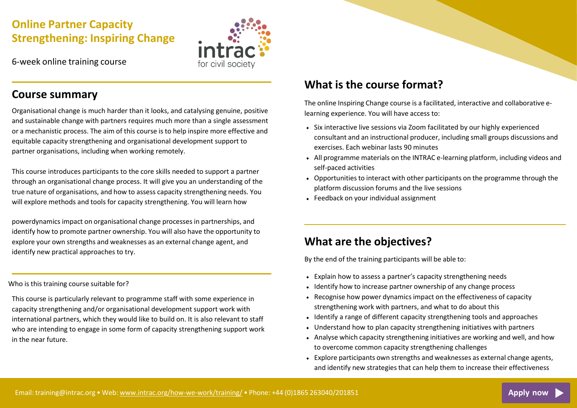# **Online Partner Capacity Strengthening: Inspiring Change**

6-week online training course



### **Course summary**

Organisational change is much harder than it looks, and catalysing genuine, positive and sustainable change with partners requires much more than a single assessment or a mechanistic process. The aim of this course is to help inspire more effective and equitable capacity strengthening and organisational development support to partner organisations, including when working remotely.

This course introduces participants to the core skills needed to support a partner through an organisational change process. It will give you an understanding of the true nature of organisations, and how to assess capacity strengthening needs. You will explore methods and tools for capacity strengthening. You will learn how

powerdynamics impact on organisational change processes in partnerships, and identify how to promote partner ownership. You will also have the opportunity to explore your own strengths and weaknesses as an external change agent, and identify new practical approaches to try.

### Who is this training course suitable for?

This course is particularly relevant to programme staff with some experience in capacity strengthening and/or organisational development support work with international partners, which they would like to build on. It is also relevant to staff who are intending to engage in some form of capacity strengthening support work in the near future.

# **What is the course format?**

The online Inspiring Change course is a facilitated, interactive and collaborative elearning experience. You will have access to:

- Six interactive live sessions via Zoom facilitated by our highly experienced consultant and an instructional producer, including small groups discussions and exercises. Each webinar lasts 90 minutes
- All programme materials on the INTRAC e-learning platform, including videos and self-paced activities
- Opportunities to interact with other participants on the programme through the platform discussion forums and the live sessions
- Feedback on your individual assignment

# **What are the objectives?**

By the end of the training participants will be able to:

- Explain how to assess a partner's capacity strengthening needs
- Identify how to increase partner ownership of any change process
- Recognise how power dynamics impact on the effectiveness of capacity strengthening work with partners, and what to do about this
- Identify a range of different capacity strengthening tools and approaches
- Understand how to plan capacity strengthening initiatives with partners
- Analyse which capacity strengthening initiatives are working and well, and how to overcome common capacity strengthening challenges
- Explore participants own strengths and weaknesses as external change agents, and identify new strategies that can help them to increase their effectiveness